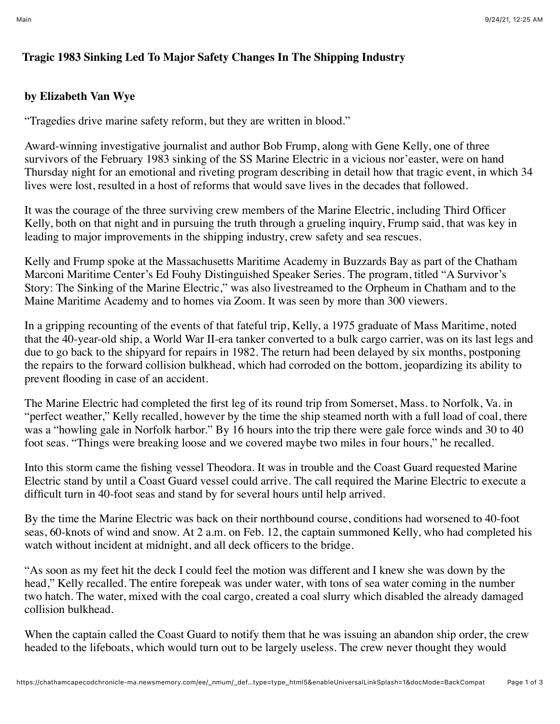## **Tragic 1983 Sinking Led To Major Safety Changes In The Shipping Industry**

## **by Elizabeth Van Wye**

"Tragedies drive marine safety reform, but they are written in blood."

Award-winning investigative journalist and author Bob Frump, along with Gene Kelly, one of three survivors of the February 1983 sinking of the SS Marine Electric in a vicious nor'easter, were on hand Thursday night for an emotional and riveting program describing in detail how that tragic event, in which 34 lives were lost, resulted in a host of reforms that would save lives in the decades that followed.

It was the courage of the three surviving crew members of the Marine Electric, including Third Officer Kelly, both on that night and in pursuing the truth through a grueling inquiry, Frump said, that was key in leading to major improvements in the shipping industry, crew safety and sea rescues.

Kelly and Frump spoke at the Massachusetts Maritime Academy in Buzzards Bay as part of the Chatham Marconi Maritime Center's Ed Fouhy Distinguished Speaker Series. The program, titled "A Survivor's Story: The Sinking of the Marine Electric," was also livestreamed to the Orpheum in Chatham and to the Maine Maritime Academy and to homes via Zoom. It was seen by more than 300 viewers.

In a gripping recounting of the events of that fateful trip, Kelly, a 1975 graduate of Mass Maritime, noted that the 40-year-old ship, a World War II-era tanker converted to a bulk cargo carrier, was on its last legs and due to go back to the shipyard for repairs in 1982. The return had been delayed by six months, postponing the repairs to the forward collision bulkhead, which had corroded on the bottom, jeopardizing its ability to prevent flooding in case of an accident.

The Marine Electric had completed the first leg of its round trip from Somerset, Mass. to Norfolk, Va. in "perfect weather," Kelly recalled, however by the time the ship steamed north with a full load of coal, there was a "howling gale in Norfolk harbor." By 16 hours into the trip there were gale force winds and 30 to 40 foot seas. "Things were breaking loose and we covered maybe two miles in four hours," he recalled.

Into this storm came the fishing vessel Theodora. It was in trouble and the Coast Guard requested Marine Electric stand by until a Coast Guard vessel could arrive. The call required the Marine Electric to execute a difficult turn in 40-foot seas and stand by for several hours until help arrived.

By the time the Marine Electric was back on their northbound course, conditions had worsened to 40-foot seas, 60-knots of wind and snow. At 2 a.m. on Feb. 12, the captain summoned Kelly, who had completed his watch without incident at midnight, and all deck officers to the bridge.

"As soon as my feet hit the deck I could feel the motion was different and I knew she was down by the head," Kelly recalled. The entire forepeak was under water, with tons of sea water coming in the number two hatch. The water, mixed with the coal cargo, created a coal slurry which disabled the already damaged collision bulkhead.

When the captain called the Coast Guard to notify them that he was issuing an abandon ship order, the crew headed to the lifeboats, which would turn out to be largely useless. The crew never thought they would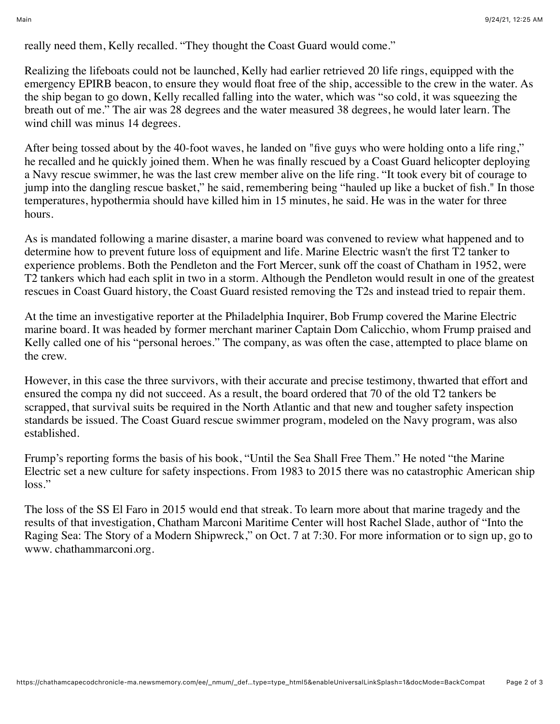really need them, Kelly recalled. "They thought the Coast Guard would come."

Realizing the lifeboats could not be launched, Kelly had earlier retrieved 20 life rings, equipped with the emergency EPIRB beacon, to ensure they would float free of the ship, accessible to the crew in the water. As the ship began to go down, Kelly recalled falling into the water, which was "so cold, it was squeezing the breath out of me." The air was 28 degrees and the water measured 38 degrees, he would later learn. The wind chill was minus 14 degrees.

After being tossed about by the 40-foot waves, he landed on "five guys who were holding onto a life ring," he recalled and he quickly joined them. When he was finally rescued by a Coast Guard helicopter deploying a Navy rescue swimmer, he was the last crew member alive on the life ring. "It took every bit of courage to jump into the dangling rescue basket," he said, remembering being "hauled up like a bucket of fish." In those temperatures, hypothermia should have killed him in 15 minutes, he said. He was in the water for three hours.

As is mandated following a marine disaster, a marine board was convened to review what happened and to determine how to prevent future loss of equipment and life. Marine Electric wasn't the first T2 tanker to experience problems. Both the Pendleton and the Fort Mercer, sunk off the coast of Chatham in 1952, were T2 tankers which had each split in two in a storm. Although the Pendleton would result in one of the greatest rescues in Coast Guard history, the Coast Guard resisted removing the T2s and instead tried to repair them.

At the time an investigative reporter at the Philadelphia Inquirer, Bob Frump covered the Marine Electric marine board. It was headed by former merchant mariner Captain Dom Calicchio, whom Frump praised and Kelly called one of his "personal heroes." The company, as was often the case, attempted to place blame on the crew.

However, in this case the three survivors, with their accurate and precise testimony, thwarted that effort and ensured the compa ny did not succeed. As a result, the board ordered that 70 of the old T2 tankers be scrapped, that survival suits be required in the North Atlantic and that new and tougher safety inspection standards be issued. The Coast Guard rescue swimmer program, modeled on the Navy program, was also established.

Frump's reporting forms the basis of his book, "Until the Sea Shall Free Them." He noted "the Marine Electric set a new culture for safety inspections. From 1983 to 2015 there was no catastrophic American ship loss."

The loss of the SS El Faro in 2015 would end that streak. To learn more about that marine tragedy and the results of that investigation, Chatham Marconi Maritime Center will host Rachel Slade, author of "Into the Raging Sea: The Story of a Modern Shipwreck," on Oct. 7 at 7:30. For more information or to sign up, go to www. chathammarconi.org.